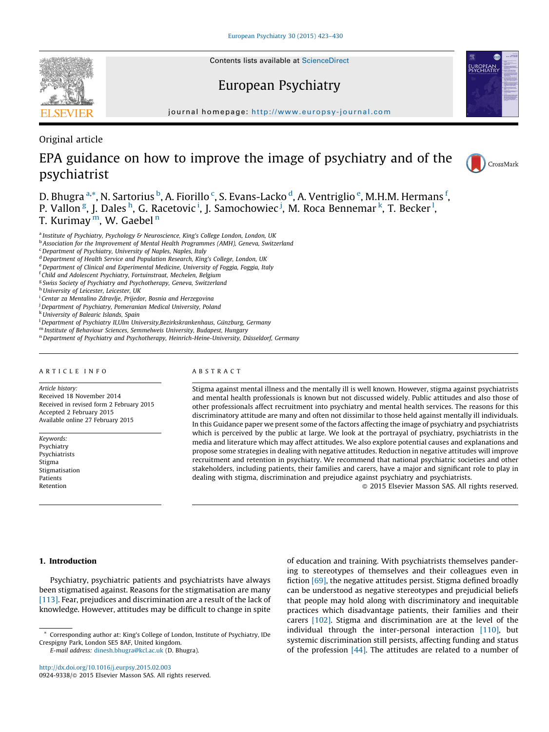Contents lists available at [ScienceDirect](http://www.sciencedirect.com/science/journal/09249338)

# European Psychiatry

journal homepage: http://www.europsy-journal.com

Original article

# EPA guidance on how to improve the image of psychiatry and of the psychiatrist



EUROPEA

D. Bhugra <sup>a,\*</sup>, N. Sartorius <sup>b</sup>, A. Fiorillo <sup>c</sup>, S. Evans-Lacko <sup>d</sup>, A. Ventriglio <sup>e</sup>, M.H.M. Hermans <sup>f</sup>, P. Vallon <sup>g</sup>, J. Dales <sup>h</sup>, G. Racetovic <sup>i</sup>, J. Samochowiec <sup>j</sup>, M. Roca Bennemar <sup>k</sup>, T. Becker <sup>l</sup>, T. Kurimay<sup>m</sup>, W. Gaebel<sup>n</sup>

<sup>a</sup> Institute of Psychiatry, Psychology & Neuroscience, King's College London, London, UK

- **b** Association for the Improvement of Mental Health Programmes (AMH), Geneva, Switzerland
- $c$  Department of Psychiatry, University of Naples, Naples, Italy
- <sup>d</sup> Department of Health Service and Population Research, King's College, London, UK
- e Department of Clinical and Experimental Medicine, University of Foggia, Foggia, Italy
- f Child and Adolescent Psychiatry, Fortuinstraat, Mechelen, Belgium
- <sup>g</sup> Swiss Society of Psychiatry and Psychotherapy, Geneva, Switzerland

- <sup>i</sup> Centar za Mentalino Zdravlje, Prijedor, Bosnia and Herzegovina
- <sup>i</sup> Department of Psychiatry, Pomeranian Medical University, Poland

<sup>k</sup>University of Balearic Islands, Spain

<sup>l</sup> Department of Psychiatry II,Ulm University,Bezirkskrankenhaus, Günzburg, Germany

<sup>m</sup> Institute of Behaviour Sciences, Semmelweis University, Budapest, Hungary

<sup>n</sup> Department of Psychiatry and Psychotherapy, Heinrich-Heine-University, Düsseldorf, Germany

#### A R T I C L E I N F O

Article history: Received 18 November 2014 Received in revised form 2 February 2015 Accepted 2 February 2015 Available online 27 February 2015

Keywords: Psychiatry Psychiatrists Stigma Stigmatisation Patients Retention

#### A B S T R A C T

Stigma against mental illness and the mentally ill is well known. However, stigma against psychiatrists and mental health professionals is known but not discussed widely. Public attitudes and also those of other professionals affect recruitment into psychiatry and mental health services. The reasons for this discriminatory attitude are many and often not dissimilar to those held against mentally ill individuals. In this Guidance paper we present some of the factors affecting the image of psychiatry and psychiatrists which is perceived by the public at large. We look at the portrayal of psychiatry, psychiatrists in the media and literature which may affect attitudes. We also explore potential causes and explanations and propose some strategies in dealing with negative attitudes. Reduction in negative attitudes will improve recruitment and retention in psychiatry. We recommend that national psychiatric societies and other stakeholders, including patients, their families and carers, have a major and significant role to play in dealing with stigma, discrimination and prejudice against psychiatry and psychiatrists.

 $\odot$  2015 Elsevier Masson SAS. All rights reserved.

## 1. Introduction

Psychiatry, psychiatric patients and psychiatrists have always been stigmatised against. Reasons for the stigmatisation are many [\[113\]](#page-7-0). Fear, prejudices and discrimination are a result of the lack of knowledge. However, attitudes may be difficult to change in spite

E-mail address: [dinesh.bhugra@kcl.ac.uk](mailto:dinesh.bhugra@kcl.ac.uk) (D. Bhugra).

<http://dx.doi.org/10.1016/j.eurpsy.2015.02.003> 0924-9338/© 2015 Elsevier Masson SAS. All rights reserved. of education and training. With psychiatrists themselves pandering to stereotypes of themselves and their colleagues even in fiction [\[69\],](#page-6-0) the negative attitudes persist. Stigma defined broadly can be understood as negative stereotypes and prejudicial beliefs that people may hold along with discriminatory and inequitable practices which disadvantage patients, their families and their carers [\[102\].](#page-6-0) Stigma and discrimination are at the level of the individual through the inter-personal interaction [\[110\]](#page-6-0), but systemic discrimination still persists, affecting funding and status of the profession  $[44]$ . The attitudes are related to a number of



h University of Leicester, Leicester, UK

<sup>\*</sup> Corresponding author at: King's College of London, Institute of Psychiatry, IDe Crespigny Park, London SE5 8AF, United kingdom.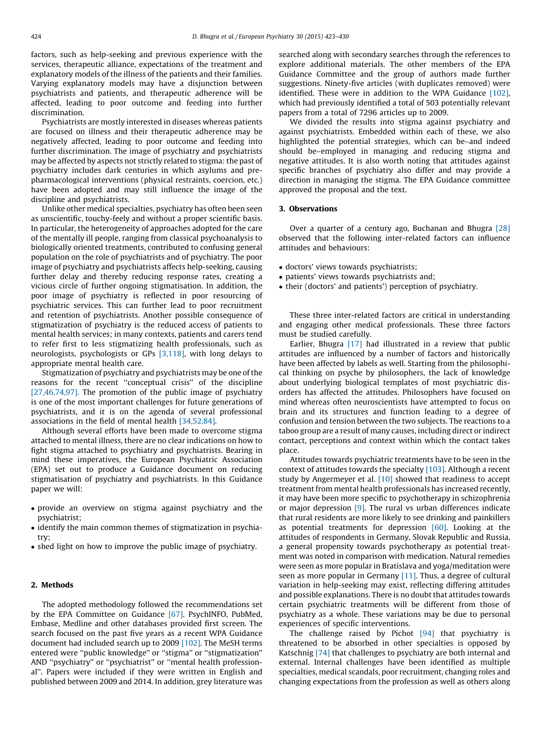factors, such as help-seeking and previous experience with the services, therapeutic alliance, expectations of the treatment and explanatory models of the illness of the patients and their families. Varying explanatory models may have a disjunction between psychiatrists and patients, and therapeutic adherence will be affected, leading to poor outcome and feeding into further discrimination.

Psychiatrists are mostly interested in diseases whereas patients are focused on illness and their therapeutic adherence may be negatively affected, leading to poor outcome and feeding into further discrimination. The image of psychiatry and psychiatrists may be affected by aspects not strictly related to stigma: the past of psychiatry includes dark centuries in which asylums and prepharmacological interventions (physical restraints, coercion, etc.) have been adopted and may still influence the image of the discipline and psychiatrists.

Unlike other medical specialties, psychiatry has often been seen as unscientific, touchy-feely and without a proper scientific basis. In particular, the heterogeneity of approaches adopted for the care of the mentally ill people, ranging from classical psychoanalysis to biologically oriented treatments, contributed to confusing general population on the role of psychiatrists and of psychiatry. The poor image of psychiatry and psychiatrists affects help-seeking, causing further delay and thereby reducing response rates, creating a vicious circle of further ongoing stigmatisation. In addition, the poor image of psychiatry is reflected in poor resourcing of psychiatric services. This can further lead to poor recruitment and retention of psychiatrists. Another possible consequence of stigmatization of psychiatry is the reduced access of patients to mental health services; in many contexts, patients and carers tend to refer first to less stigmatizing health professionals, such as neurologists, psychologists or GPs [\[3,118\]](#page-5-0), with long delays to appropriate mental health care.

Stigmatization of psychiatry and psychiatrists may be one of the reasons for the recent ''conceptual crisis'' of the discipline [\[27,46,74,97\]](#page-5-0). The promotion of the public image of psychiatry is one of the most important challenges for future generations of psychiatrists, and it is on the agenda of several professional associations in the field of mental health [\[34,52,84\]](#page-5-0).

Although several efforts have been made to overcome stigma attached to mental illness, there are no clear indications on how to fight stigma attached to psychiatry and psychiatrists. Bearing in mind these imperatives, the European Psychiatric Association (EPA) set out to produce a Guidance document on reducing stigmatisation of psychiatry and psychiatrists. In this Guidance paper we will:

- provide an overview on stigma against psychiatry and the psychiatrist;
- identify the main common themes of stigmatization in psychiatry;
- shed light on how to improve the public image of psychiatry.

# 2. Methods

The adopted methodology followed the recommendations set by the EPA Committee on Guidance [\[67\]](#page-6-0). PsychINFO, PubMed, Embase, Medline and other databases provided first screen. The search focused on the past five years as a recent WPA Guidance document had included search up to 2009 [\[102\]](#page-6-0). The MeSH terms entered were ''public knowledge'' or ''stigma'' or ''stigmatization'' AND ''psychiatry'' or ''psychiatrist'' or ''mental health professional''. Papers were included if they were written in English and published between 2009 and 2014. In addition, grey literature was

searched along with secondary searches through the references to explore additional materials. The other members of the EPA Guidance Committee and the group of authors made further suggestions. Ninety-five articles (with duplicates removed) were identified. These were in addition to the WPA Guidance [\[102\],](#page-6-0) which had previously identified a total of 503 potentially relevant papers from a total of 7296 articles up to 2009.

We divided the results into stigma against psychiatry and against psychiatrists. Embedded within each of these, we also highlighted the potential strategies, which can be–and indeed should be–employed in managing and reducing stigma and negative attitudes. It is also worth noting that attitudes against specific branches of psychiatry also differ and may provide a direction in managing the stigma. The EPA Guidance committee approved the proposal and the text.

## 3. Observations

Over a quarter of a century ago, Buchanan and Bhugra [\[28\]](#page-5-0) observed that the following inter-related factors can influence attitudes and behaviours:

- doctors' views towards psychiatrists;
- patients' views towards psychiatrists and;
- their (doctors' and patients') perception of psychiatry.

These three inter-related factors are critical in understanding and engaging other medical professionals. These three factors must be studied carefully.

Earlier, Bhugra [\[17\]](#page-5-0) had illustrated in a review that public attitudes are influenced by a number of factors and historically have been affected by labels as well. Starting from the philosophical thinking on psyche by philosophers, the lack of knowledge about underlying biological templates of most psychiatric disorders has affected the attitudes. Philosophers have focused on mind whereas often neuroscientists have attempted to focus on brain and its structures and function leading to a degree of confusion and tension between the two subjects. The reactions to a taboo group are a result of many causes, including direct or indirect contact, perceptions and context within which the contact takes place.

Attitudes towards psychiatric treatments have to be seen in the context of attitudes towards the specialty [\[103\]](#page-6-0). Although a recent study by Angermeyer et al. [\[10\]](#page-5-0) showed that readiness to accept treatment from mental health professionals has increased recently, it may have been more specific to psychotherapy in schizophrenia or major depression  $[9]$ . The rural vs urban differences indicate that rural residents are more likely to see drinking and painkillers as potential treatments for depression [\[60\]](#page-6-0). Looking at the attitudes of respondents in Germany, Slovak Republic and Russia, a general propensity towards psychotherapy as potential treatment was noted in comparison with medication. Natural remedies were seen as more popular in Bratislava and yoga/meditation were seen as more popular in Germany [\[11\]](#page-5-0). Thus, a degree of cultural variation in help-seeking may exist, reflecting differing attitudes and possible explanations. There is no doubt that attitudes towards certain psychiatric treatments will be different from those of psychiatry as a whole. These variations may be due to personal experiences of specific interventions.

The challenge raised by Pichot [\[94\]](#page-6-0) that psychiatry is threatened to be absorbed in other specialties is opposed by Katschnig [\[74\]](#page-6-0) that challenges to psychiatry are both internal and external. Internal challenges have been identified as multiple specialties, medical scandals, poor recruitment, changing roles and changing expectations from the profession as well as others along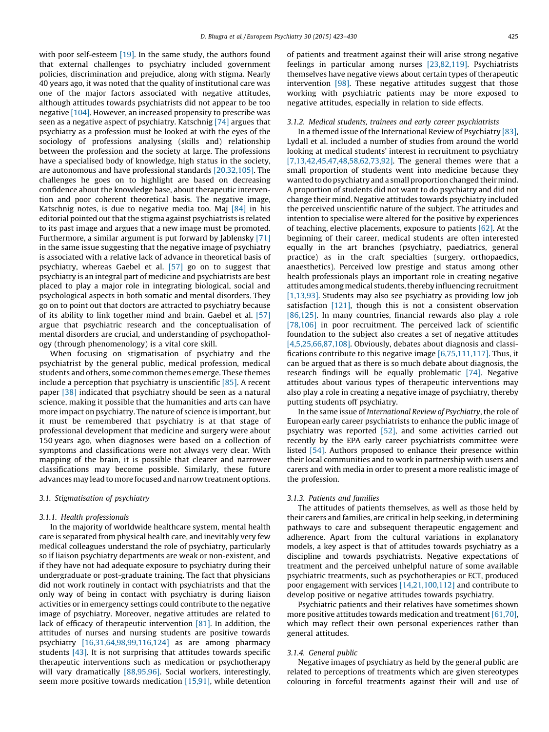with poor self-esteem [\[19\].](#page-5-0) In the same study, the authors found that external challenges to psychiatry included government policies, discrimination and prejudice, along with stigma. Nearly 40 years ago, it was noted that the quality of institutional care was one of the major factors associated with negative attitudes, although attitudes towards psychiatrists did not appear to be too negative [\[104\]](#page-6-0). However, an increased propensity to prescribe was seen as a negative aspect of psychiatry. Katschnig [\[74\]](#page-6-0) argues that psychiatry as a profession must be looked at with the eyes of the sociology of professions analysing (skills and) relationship between the profession and the society at large. The professions have a specialised body of knowledge, high status in the society, are autonomous and have professional standards [\[20,32,105\]](#page-5-0). The challenges he goes on to highlight are based on decreasing confidence about the knowledge base, about therapeutic intervention and poor coherent theoretical basis. The negative image, Katschnig notes, is due to negative media too. Maj [\[84\]](#page-6-0) in his editorial pointed out that the stigma against psychiatrists is related to its past image and argues that a new image must be promoted. Furthermore, a similar argument is put forward by Jablensky [\[71\]](#page-6-0) in the same issue suggesting that the negative image of psychiatry is associated with a relative lack of advance in theoretical basis of psychiatry, whereas Gaebel et al. [\[57\]](#page-6-0) go on to suggest that psychiatry is an integral part of medicine and psychiatrists are best placed to play a major role in integrating biological, social and psychological aspects in both somatic and mental disorders. They go on to point out that doctors are attracted to psychiatry because of its ability to link together mind and brain. Gaebel et al. [\[57\]](#page-6-0) argue that psychiatric research and the conceptualisation of mental disorders are crucial, and understanding of psychopathology (through phenomenology) is a vital core skill.

When focusing on stigmatisation of psychiatry and the psychiatrist by the general public, medical profession, medical students and others, some common themes emerge. These themes include a perception that psychiatry is unscientific [\[85\]](#page-6-0). A recent paper [\[38\]](#page-5-0) indicated that psychiatry should be seen as a natural science, making it possible that the humanities and arts can have more impact on psychiatry. The nature of science is important, but it must be remembered that psychiatry is at that stage of professional development that medicine and surgery were about 150 years ago, when diagnoses were based on a collection of symptoms and classifications were not always very clear. With mapping of the brain, it is possible that clearer and narrower classifications may become possible. Similarly, these future advances may lead to more focused and narrow treatment options.

## 3.1. Stigmatisation of psychiatry

## 3.1.1. Health professionals

In the majority of worldwide healthcare system, mental health care is separated from physical health care, and inevitably very few medical colleagues understand the role of psychiatry, particularly so if liaison psychiatry departments are weak or non-existent, and if they have not had adequate exposure to psychiatry during their undergraduate or post-graduate training. The fact that physicians did not work routinely in contact with psychiatrists and that the only way of being in contact with psychiatry is during liaison activities or in emergency settings could contribute to the negative image of psychiatry. Moreover, negative attitudes are related to lack of efficacy of therapeutic intervention [\[81\]](#page-6-0). In addition, the attitudes of nurses and nursing students are positive towards psychiatry [\[16,31,64,98,99,116,124\]](#page-5-0) as are among pharmacy students [\[43\]](#page-5-0). It is not surprising that attitudes towards specific therapeutic interventions such as medication or psychotherapy will vary dramatically [\[88,95,96\]](#page-6-0). Social workers, interestingly, seem more positive towards medication [\[15,91\],](#page-5-0) while detention of patients and treatment against their will arise strong negative feelings in particular among nurses [\[23,82,119\]](#page-5-0). Psychiatrists themselves have negative views about certain types of therapeutic intervention [\[98\]](#page-6-0). These negative attitudes suggest that those working with psychiatric patients may be more exposed to negative attitudes, especially in relation to side effects.

#### 3.1.2. Medical students, trainees and early career psychiatrists

In a themed issue of the International Review of Psychiatry [\[83\],](#page-6-0) Lydall et al. included a number of studies from around the world looking at medical students' interest in recruitment to psychiatry [\[7,13,42,45,47,48,58,62,73,92\]](#page-5-0). The general themes were that a small proportion of students went into medicine because they wanted to do psychiatry and a small proportion changed their mind. A proportion of students did not want to do psychiatry and did not change their mind. Negative attitudes towards psychiatry included the perceived unscientific nature of the subject. The attitudes and intention to specialise were altered for the positive by experiences of teaching, elective placements, exposure to patients [\[62\].](#page-6-0) At the beginning of their career, medical students are often interested equally in the art branches (psychiatry, paediatrics, general practice) as in the craft specialties (surgery, orthopaedics, anaesthetics). Perceived low prestige and status among other health professionals plays an important role in creating negative attitudes among medical students, thereby influencing recruitment [\[1,13,93\]](#page-5-0). Students may also see psychiatry as providing low job satisfaction [\[121\]](#page-7-0), though this is not a consistent observation [\[86,125\].](#page-6-0) In many countries, financial rewards also play a role [\[78,106\]](#page-6-0) in poor recruitment. The perceived lack of scientific foundation to the subject also creates a set of negative attitudes [\[4,5,25,66,87,108\]](#page-5-0). Obviously, debates about diagnosis and classifications contribute to this negative image [\[6,75,111,117\]](#page-5-0). Thus, it can be argued that as there is so much debate about diagnosis, the research findings will be equally problematic [\[74\]](#page-6-0). Negative attitudes about various types of therapeutic interventions may also play a role in creating a negative image of psychiatry, thereby putting students off psychiatry.

In the same issue of International Review of Psychiatry, the role of European early career psychiatrists to enhance the public image of psychiatry was reported [\[52\]](#page-6-0), and some activities carried out recently by the EPA early career psychiatrists committee were listed [\[54\].](#page-6-0) Authors proposed to enhance their presence within their local communities and to work in partnership with users and carers and with media in order to present a more realistic image of the profession.

## 3.1.3. Patients and families

The attitudes of patients themselves, as well as those held by their carers and families, are critical in help seeking, in determining pathways to care and subsequent therapeutic engagement and adherence. Apart from the cultural variations in explanatory models, a key aspect is that of attitudes towards psychiatry as a discipline and towards psychiatrists. Negative expectations of treatment and the perceived unhelpful nature of some available psychiatric treatments, such as psychotherapies or ECT, produced poor engagement with services [\[14,21,100,112\]](#page-5-0) and contribute to develop positive or negative attitudes towards psychiatry.

Psychiatric patients and their relatives have sometimes shown more positive attitudes towards medication and treatment  $[61,70]$ , which may reflect their own personal experiences rather than general attitudes.

### 3.1.4. General public

Negative images of psychiatry as held by the general public are related to perceptions of treatments which are given stereotypes colouring in forceful treatments against their will and use of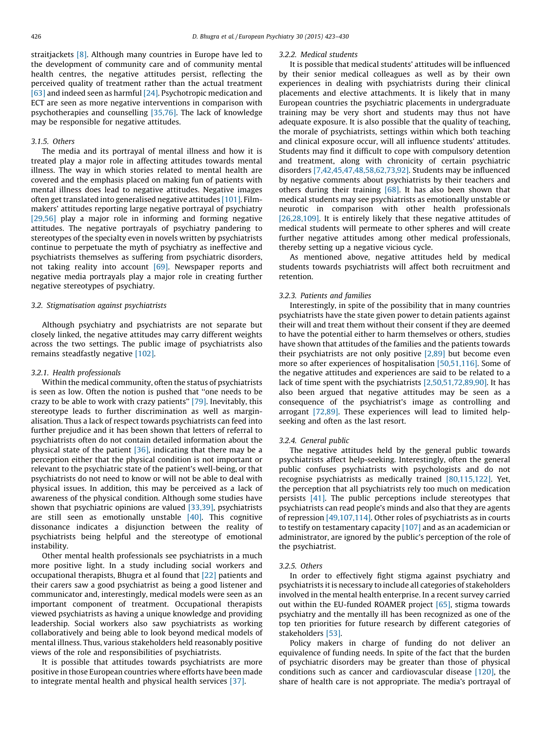straitjackets [\[8\]](#page-5-0). Although many countries in Europe have led to the development of community care and of community mental health centres, the negative attitudes persist, reflecting the perceived quality of treatment rather than the actual treatment [\[63\]](#page-6-0) and indeed seen as harmful [\[24\]](#page-5-0). Psychotropic medication and ECT are seen as more negative interventions in comparison with psychotherapies and counselling [\[35,76\]](#page-5-0). The lack of knowledge may be responsible for negative attitudes.

## 3.1.5. Others

The media and its portrayal of mental illness and how it is treated play a major role in affecting attitudes towards mental illness. The way in which stories related to mental health are covered and the emphasis placed on making fun of patients with mental illness does lead to negative attitudes. Negative images often get translated into generalised negative attitudes [\[101\].](#page-6-0) Filmmakers' attitudes reporting large negative portrayal of psychiatry [\[29,56\]](#page-5-0) play a major role in informing and forming negative attitudes. The negative portrayals of psychiatry pandering to stereotypes of the specialty even in novels written by psychiatrists continue to perpetuate the myth of psychiatry as ineffective and psychiatrists themselves as suffering from psychiatric disorders, not taking reality into account [\[69\]](#page-6-0). Newspaper reports and negative media portrayals play a major role in creating further negative stereotypes of psychiatry.

## 3.2. Stigmatisation against psychiatrists

Although psychiatry and psychiatrists are not separate but closely linked, the negative attitudes may carry different weights across the two settings. The public image of psychiatrists also remains steadfastly negative [\[102\]](#page-6-0).

### 3.2.1. Health professionals

Within the medical community, often the status of psychiatrists is seen as low. Often the notion is pushed that ''one needs to be crazy to be able to work with crazy patients'' [\[79\].](#page-6-0) Inevitably, this stereotype leads to further discrimination as well as marginalisation. Thus a lack of respect towards psychiatrists can feed into further prejudice and it has been shown that letters of referral to psychiatrists often do not contain detailed information about the physical state of the patient [\[36\]](#page-5-0), indicating that there may be a perception either that the physical condition is not important or relevant to the psychiatric state of the patient's well-being, or that psychiatrists do not need to know or will not be able to deal with physical issues. In addition, this may be perceived as a lack of awareness of the physical condition. Although some studies have shown that psychiatric opinions are valued [\[33,39\],](#page-5-0) psychiatrists are still seen as emotionally unstable  $[40]$ . This cognitive dissonance indicates a disjunction between the reality of psychiatrists being helpful and the stereotype of emotional instability.

Other mental health professionals see psychiatrists in a much more positive light. In a study including social workers and occupational therapists, Bhugra et al found that [\[22\]](#page-5-0) patients and their carers saw a good psychiatrist as being a good listener and communicator and, interestingly, medical models were seen as an important component of treatment. Occupational therapists viewed psychiatrists as having a unique knowledge and providing leadership. Social workers also saw psychiatrists as working collaboratively and being able to look beyond medical models of mental illness. Thus, various stakeholders held reasonably positive views of the role and responsibilities of psychiatrists.

It is possible that attitudes towards psychiatrists are more positive in those European countries where efforts have been made to integrate mental health and physical health services [\[37\]](#page-5-0).

#### 3.2.2. Medical students

It is possible that medical students' attitudes will be influenced by their senior medical colleagues as well as by their own experiences in dealing with psychiatrists during their clinical placements and elective attachments. It is likely that in many European countries the psychiatric placements in undergraduate training may be very short and students may thus not have adequate exposure. It is also possible that the quality of teaching, the morale of psychiatrists, settings within which both teaching and clinical exposure occur, will all influence students' attitudes. Students may find it difficult to cope with compulsory detention and treatment, along with chronicity of certain psychiatric disorders [\[7,42,45,47,48,58,62,73,92\].](#page-5-0) Students may be influenced by negative comments about psychiatrists by their teachers and others during their training [\[68\]](#page-6-0). It has also been shown that medical students may see psychiatrists as emotionally unstable or neurotic in comparison with other health professionals [\[26,28,109\]](#page-5-0). It is entirely likely that these negative attitudes of medical students will permeate to other spheres and will create further negative attitudes among other medical professionals, thereby setting up a negative vicious cycle.

As mentioned above, negative attitudes held by medical students towards psychiatrists will affect both recruitment and retention.

## 3.2.3. Patients and families

Interestingly, in spite of the possibility that in many countries psychiatrists have the state given power to detain patients against their will and treat them without their consent if they are deemed to have the potential either to harm themselves or others, studies have shown that attitudes of the families and the patients towards their psychiatrists are not only positive [\[2,89\]](#page-5-0) but become even more so after experiences of hospitalisation [\[50,51,116\].](#page-6-0) Some of the negative attitudes and experiences are said to be related to a lack of time spent with the psychiatrists [\[2,50,51,72,89,90\]](#page-5-0). It has also been argued that negative attitudes may be seen as a consequence of the psychiatrist's image as controlling and arrogant [\[72,89\]](#page-6-0). These experiences will lead to limited helpseeking and often as the last resort.

#### 3.2.4. General public

The negative attitudes held by the general public towards psychiatrists affect help-seeking. Interestingly, often the general public confuses psychiatrists with psychologists and do not recognise psychiatrists as medically trained [\[80,115,122\].](#page-6-0) Yet, the perception that all psychiatrists rely too much on medication persists [\[41\].](#page-5-0) The public perceptions include stereotypes that psychiatrists can read people's minds and also that they are agents of repression [\[49,107,114\]](#page-6-0). Other roles of psychiatrists as in courts to testify on testamentary capacity [\[107\]](#page-6-0) and as an academician or administrator, are ignored by the public's perception of the role of the psychiatrist.

#### 3.2.5. Others

In order to effectively fight stigma against psychiatry and psychiatrists it is necessary to include all categories of stakeholders involved in the mental health enterprise. In a recent survey carried out within the EU-funded ROAMER project [\[65\],](#page-6-0) stigma towards psychiatry and the mentally ill has been recognized as one of the top ten priorities for future research by different categories of stakeholders [\[53\].](#page-6-0)

Policy makers in charge of funding do not deliver an equivalence of funding needs. In spite of the fact that the burden of psychiatric disorders may be greater than those of physical conditions such as cancer and cardiovascular disease [\[120\],](#page-7-0) the share of health care is not appropriate. The media's portrayal of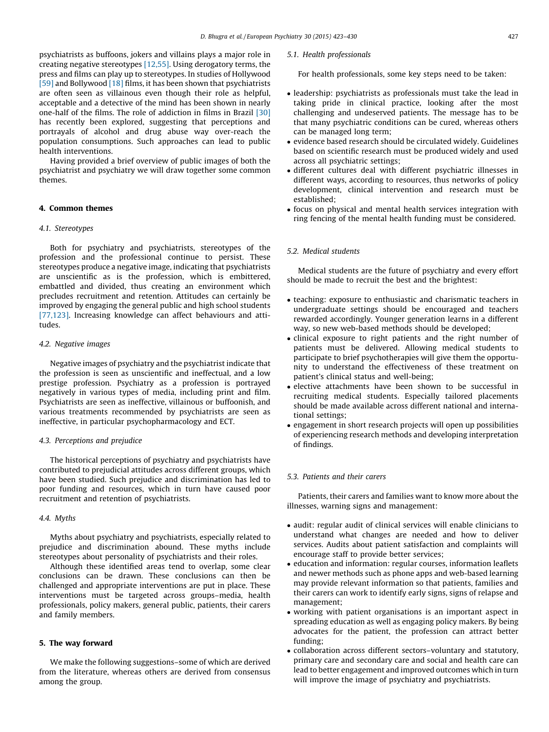psychiatrists as buffoons, jokers and villains plays a major role in creating negative stereotypes [\[12,55\].](#page-5-0) Using derogatory terms, the press and films can play up to stereotypes. In studies of Hollywood [\[59\]](#page-6-0) and Bollywood [\[18\]](#page-5-0) films, it has been shown that psychiatrists are often seen as villainous even though their role as helpful, acceptable and a detective of the mind has been shown in nearly one-half of the films. The role of addiction in films in Brazil [\[30\]](#page-5-0) has recently been explored, suggesting that perceptions and portrayals of alcohol and drug abuse way over-reach the population consumptions. Such approaches can lead to public health interventions.

Having provided a brief overview of public images of both the psychiatrist and psychiatry we will draw together some common themes.

## 4. Common themes

### 4.1. Stereotypes

Both for psychiatry and psychiatrists, stereotypes of the profession and the professional continue to persist. These stereotypes produce a negative image, indicating that psychiatrists are unscientific as is the profession, which is embittered, embattled and divided, thus creating an environment which precludes recruitment and retention. Attitudes can certainly be improved by engaging the general public and high school students [\[77,123\].](#page-6-0) Increasing knowledge can affect behaviours and attitudes.

#### 4.2. Negative images

Negative images of psychiatry and the psychiatrist indicate that the profession is seen as unscientific and ineffectual, and a low prestige profession. Psychiatry as a profession is portrayed negatively in various types of media, including print and film. Psychiatrists are seen as ineffective, villainous or buffoonish, and various treatments recommended by psychiatrists are seen as ineffective, in particular psychopharmacology and ECT.

## 4.3. Perceptions and prejudice

The historical perceptions of psychiatry and psychiatrists have contributed to prejudicial attitudes across different groups, which have been studied. Such prejudice and discrimination has led to poor funding and resources, which in turn have caused poor recruitment and retention of psychiatrists.

# 4.4. Myths

Myths about psychiatry and psychiatrists, especially related to prejudice and discrimination abound. These myths include stereotypes about personality of psychiatrists and their roles.

Although these identified areas tend to overlap, some clear conclusions can be drawn. These conclusions can then be challenged and appropriate interventions are put in place. These interventions must be targeted across groups–media, health professionals, policy makers, general public, patients, their carers and family members.

### 5. The way forward

We make the following suggestions–some of which are derived from the literature, whereas others are derived from consensus among the group.

#### 5.1. Health professionals

For health professionals, some key steps need to be taken:

- leadership: psychiatrists as professionals must take the lead in taking pride in clinical practice, looking after the most challenging and undeserved patients. The message has to be that many psychiatric conditions can be cured, whereas others can be managed long term;
- evidence based research should be circulated widely. Guidelines based on scientific research must be produced widely and used across all psychiatric settings;
- different cultures deal with different psychiatric illnesses in different ways, according to resources, thus networks of policy development, clinical intervention and research must be established;
- focus on physical and mental health services integration with ring fencing of the mental health funding must be considered.

## 5.2. Medical students

Medical students are the future of psychiatry and every effort should be made to recruit the best and the brightest:

- teaching: exposure to enthusiastic and charismatic teachers in undergraduate settings should be encouraged and teachers rewarded accordingly. Younger generation learns in a different way, so new web-based methods should be developed;
- clinical exposure to right patients and the right number of patients must be delivered. Allowing medical students to participate to brief psychotherapies will give them the opportunity to understand the effectiveness of these treatment on patient's clinical status and well-being;
- elective attachments have been shown to be successful in recruiting medical students. Especially tailored placements should be made available across different national and international settings;
- engagement in short research projects will open up possibilities of experiencing research methods and developing interpretation of findings.

# 5.3. Patients and their carers

Patients, their carers and families want to know more about the illnesses, warning signs and management:

- audit: regular audit of clinical services will enable clinicians to understand what changes are needed and how to deliver services. Audits about patient satisfaction and complaints will encourage staff to provide better services;
- education and information: regular courses, information leaflets and newer methods such as phone apps and web-based learning may provide relevant information so that patients, families and their carers can work to identify early signs, signs of relapse and management;
- working with patient organisations is an important aspect in spreading education as well as engaging policy makers. By being advocates for the patient, the profession can attract better funding;
- collaboration across different sectors–voluntary and statutory, primary care and secondary care and social and health care can lead to better engagement and improved outcomes which in turn will improve the image of psychiatry and psychiatrists.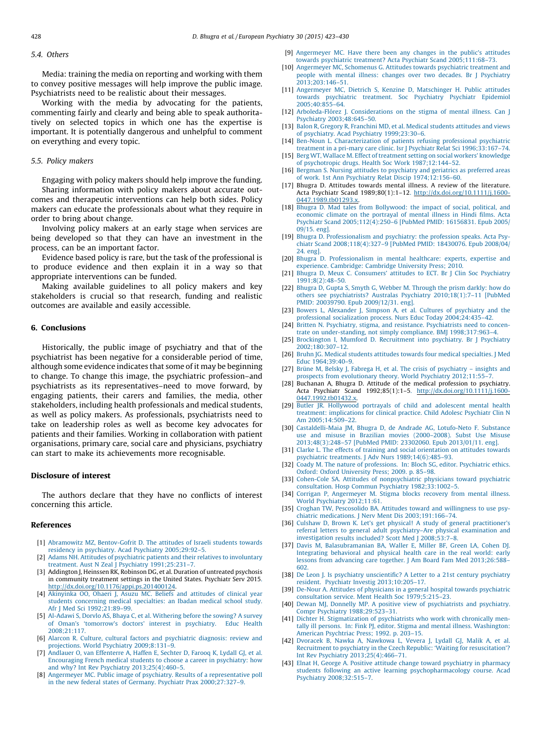## <span id="page-5-0"></span>5.4. Others

Media: training the media on reporting and working with them to convey positive messages will help improve the public image. Psychiatrists need to be realistic about their messages.

Working with the media by advocating for the patients, commenting fairly and clearly and being able to speak authoritatively on selected topics in which one has the expertise is important. It is potentially dangerous and unhelpful to comment on everything and every topic.

#### 5.5. Policy makers

Engaging with policy makers should help improve the funding. Sharing information with policy makers about accurate outcomes and therapeutic interventions can help both sides. Policy makers can educate the professionals about what they require in order to bring about change.

Involving policy makers at an early stage when services are being developed so that they can have an investment in the process, can be an important factor.

Evidence based policy is rare, but the task of the professional is to produce evidence and then explain it in a way so that appropriate interventions can be funded.

Making available guidelines to all policy makers and key stakeholders is crucial so that research, funding and realistic outcomes are available and easily accessible.

## 6. Conclusions

Historically, the public image of psychiatry and that of the psychiatrist has been negative for a considerable period of time, although some evidence indicates that some of it may be beginning to change. To change this image, the psychiatric profession–and psychiatrists as its representatives–need to move forward, by engaging patients, their carers and families, the media, other stakeholders, including health professionals and medical students, as well as policy makers. As professionals, psychiatrists need to take on leadership roles as well as become key advocates for patients and their families. Working in collaboration with patient organisations, primary care, social care and physicians, psychiatry can start to make its achievements more recognisable.

#### Disclosure of interest

The authors declare that they have no conflicts of interest concerning this article.

#### References

- [1] Abramowitz MZ, [Bentov-Gofrit](http://refhub.elsevier.com/S0924-9338(15)00060-7/sbref0630) D. The attitudes of Israeli students towards residency in psychiatry. Acad Psychiatry [2005;29:92–5](http://refhub.elsevier.com/S0924-9338(15)00060-7/sbref0630).
- [2] Adams NH. Attitudes of psychiatric patients and their relatives to [involuntary](http://refhub.elsevier.com/S0924-9338(15)00060-7/sbref0635) treatment. Aust N Zeal J Psychiatry [1991;25:231–7](http://refhub.elsevier.com/S0924-9338(15)00060-7/sbref0635).
- [3] Addington J, Heinssen RK, Robinson DG, et al. Duration of untreated psychosis in community treatment settings in the United States. Psychiatr Serv 201[5.](http://dx.doi.org/10.1176/appi.ps.201400124) <http://dx.doi.org/10.1176/appi.ps.201400124>.
- [4] [Akinyinka](http://refhub.elsevier.com/S0924-9338(15)00060-7/sbref0645) OO, Ohaeri J, Asuzu MC. Beliefs and attitudes of clinical year students concerning medical [specialties:](http://refhub.elsevier.com/S0924-9338(15)00060-7/sbref0645) an Ibadan medical school study. Afr J Med Sci [1992;21:89–99.](http://refhub.elsevier.com/S0924-9338(15)00060-7/sbref0645)
- [5] Al-Adawi S, Dorvlo AS, Bhaya C, et al. [Withering](http://refhub.elsevier.com/S0924-9338(15)00060-7/sbref0650) before the sowing? A survey of Oman's ['tomorrow's](http://refhub.elsevier.com/S0924-9338(15)00060-7/sbref0650) doctors' interest in psychiatry. Educ Health [2008;21:117.](http://refhub.elsevier.com/S0924-9338(15)00060-7/sbref0650)
- [6] Alarcon R. Culture, cultural factors and [psychiatric](http://refhub.elsevier.com/S0924-9338(15)00060-7/sbref0655) diagnosis: review and projections. World Psychiatry [2009;8:131–9](http://refhub.elsevier.com/S0924-9338(15)00060-7/sbref0655).
- Andlauer O, van [Effenterre](http://refhub.elsevier.com/S0924-9338(15)00060-7/sbref0660) A, Haffen E, Sechter D, Farooq K, Lydall GJ, et al. [Encouraging](http://refhub.elsevier.com/S0924-9338(15)00060-7/sbref0660) French medical students to choose a career in psychiatry: how and why? Int Rev Psychiatry [2013;25\(4\):460–5](http://refhub.elsevier.com/S0924-9338(15)00060-7/sbref0660).
- [8] Angermeyer MC. Public image of psychiatry. Results of a [representative](http://refhub.elsevier.com/S0924-9338(15)00060-7/sbref0665) poll in the new federal states of Germany. Psychiatr Prax [2000;27:327–9.](http://refhub.elsevier.com/S0924-9338(15)00060-7/sbref0665)
- [9] [Angermeyer](http://refhub.elsevier.com/S0924-9338(15)00060-7/sbref0670) MC. Have there been any changes in the public's attitudes towards psychiatric treatment? Acta Psychiatr Scand [2005;111:68–73.](http://refhub.elsevier.com/S0924-9338(15)00060-7/sbref0670)
- [10] [Angermeyer](http://refhub.elsevier.com/S0924-9338(15)00060-7/sbref0675) MC, Schomenus G. Attitudes towards psychiatric treatment and people with mental illness: changes over two decades. Br J [Psychiatry](http://refhub.elsevier.com/S0924-9338(15)00060-7/sbref0675) [2013;203:146–51.](http://refhub.elsevier.com/S0924-9338(15)00060-7/sbref0675)
- [11] Angermeyer MC, Dietrich S, Kenzine D, [Matschinger](http://refhub.elsevier.com/S0924-9338(15)00060-7/sbref0680) H. Public attitudes towards [psychiatric](http://refhub.elsevier.com/S0924-9338(15)00060-7/sbref0680) treatment. Soc Psychiatry Psychiatr Epidemiol [2005;40:855–64.](http://refhub.elsevier.com/S0924-9338(15)00060-7/sbref0680)
- [12] Arboleda-Flórez J. [Considerations](http://refhub.elsevier.com/S0924-9338(15)00060-7/sbref0685) on the stigma of mental illness. Can J Psychiatry [2003;48:645–50.](http://refhub.elsevier.com/S0924-9338(15)00060-7/sbref0685)
- [13] Balon R, Gregory R, [Franchini](http://refhub.elsevier.com/S0924-9338(15)00060-7/sbref0690) MD, et al. Medical students attitudes and views of psychiatry. Acad Psychiatry [1999;23:30–6](http://refhub.elsevier.com/S0924-9338(15)00060-7/sbref0690).
- [14] Ben-Noun L. [Characterization](http://refhub.elsevier.com/S0924-9338(15)00060-7/sbref0695) of patients refusing professional psychiatric treatment in a pri-mary care clinic. Isr J Psychiatr Relat Sci [1996;33:167–74](http://refhub.elsevier.com/S0924-9338(15)00060-7/sbref0695).
- [15] Berg WT, Wallace M. Effect of treatment setting on social workers' [knowledge](http://refhub.elsevier.com/S0924-9338(15)00060-7/sbref0700) of psychotropic drugs. Health Soc Work [1987;12:144–52](http://refhub.elsevier.com/S0924-9338(15)00060-7/sbref0700).
- [16] Bergman S. Nursing attitudes to [psychiatry](http://refhub.elsevier.com/S0924-9338(15)00060-7/sbref0705) and geriatrics as preferred areas of work. 1st Ann Psychiatry Relat Discip [1974;12:156–60](http://refhub.elsevier.com/S0924-9338(15)00060-7/sbref0705).
- [17] Bhugra D. Attitudes towards mental illness. A review of the literature. Acta Psychiatr Scand 1989;80(1):1–12[.](http://dx.doi.org/10.1111/j.1600-0447.1989.tb01293.x) [http://dx.doi.org/10.1111/j.1600-](http://dx.doi.org/10.1111/j.1600-0447.1989.tb01293.x) [0447.1989.tb01293.x.](http://dx.doi.org/10.1111/j.1600-0447.1989.tb01293.x)
- [18] Bhugra D. Mad tales from [Bollywood:](http://refhub.elsevier.com/S0924-9338(15)00060-7/sbref0715) the impact of social, political, and [economic](http://refhub.elsevier.com/S0924-9338(15)00060-7/sbref0715) climate on the portrayal of mental illness in Hindi films. Acta Psychiatr Scand [2005;112\(4\):250–6](http://refhub.elsevier.com/S0924-9338(15)00060-7/sbref0715) [PubMed PMID: 16156831. Epub 2005/ [09/15.](http://refhub.elsevier.com/S0924-9338(15)00060-7/sbref0715) eng].
- [19] Bhugra D. [Professionalism](http://refhub.elsevier.com/S0924-9338(15)00060-7/sbref0720) and psychiatry: the profession speaks. Acta Psychiatr Scand [2008;118\(4\):327–9](http://refhub.elsevier.com/S0924-9338(15)00060-7/sbref0720) [PubMed PMID: 18430076. Epub 2008/04/ 24. [eng\].](http://refhub.elsevier.com/S0924-9338(15)00060-7/sbref0720)
- [20] Bhugra D. [Professionalism](http://refhub.elsevier.com/S0924-9338(15)00060-7/sbref0725) in mental healthcare: experts, expertise and experience. [Cambridge:](http://refhub.elsevier.com/S0924-9338(15)00060-7/sbref0725) Cambridge University Press; 2010.
- [21] Bhugra D, Meux C. [Consumers'](http://refhub.elsevier.com/S0924-9338(15)00060-7/sbref0730) attitudes to ECT. Br J Clin Soc Psychiatry [1991;8\(2\):48–50.](http://refhub.elsevier.com/S0924-9338(15)00060-7/sbref0730)
- [22] Bhugra D, Gupta S, Smyth G, Webber M. [Through](http://refhub.elsevier.com/S0924-9338(15)00060-7/sbref0735) the prism darkly: how do others see psychiatrists? Australas Psychiatry [2010;18\(1\):7–11](http://refhub.elsevier.com/S0924-9338(15)00060-7/sbref0735) [PubMed PMID: 20039790. Epub [2009/12/31.](http://refhub.elsevier.com/S0924-9338(15)00060-7/sbref0735) eng].
- [23] Bowers L, Alexander J, Simpson A, et al. Cultures of [psychiatry](http://refhub.elsevier.com/S0924-9338(15)00060-7/sbref0740) and the professional socialization process. Nurs Educ Today [2004;24:435–42.](http://refhub.elsevier.com/S0924-9338(15)00060-7/sbref0740)
- [24] Britten N. Psychiatry, stigma, and resistance. [Psychiatrists](http://refhub.elsevier.com/S0924-9338(15)00060-7/sbref0745) need to concentrate on under-standing, not simply compliance. BMJ [1998;317:963–4](http://refhub.elsevier.com/S0924-9338(15)00060-7/sbref0745).
- [25] Brockington I, Mumford D. [Recruitment](http://refhub.elsevier.com/S0924-9338(15)00060-7/sbref0750) into psychiatry. Br J Psychiatry [2002;180:307–12.](http://refhub.elsevier.com/S0924-9338(15)00060-7/sbref0750)
- [26] Bruhn JG. Medical students attitudes towards four medical [specialties.](http://refhub.elsevier.com/S0924-9338(15)00060-7/sbref0755) J Med Educ [1964;39:40–9](http://refhub.elsevier.com/S0924-9338(15)00060-7/sbref0755).
- [27] Brüne M, Belsky J, Fabrega H, et al. The crisis of [psychiatry](http://refhub.elsevier.com/S0924-9338(15)00060-7/sbref0760) insights and prospects from evolutionary theory. World Psychiatry [2012;11:55–7](http://refhub.elsevier.com/S0924-9338(15)00060-7/sbref0760). [28] Buchanan A, Bhugra D. Attitude of the medical profession to psychiatry.
- Acta Psychiatr Scand 1992;85(1):1–[5.](http://dx.doi.org/10.1111/j.1600-0447.1992.tb01432.x) [http://dx.doi.org/10.1111/j.1600-](http://dx.doi.org/10.1111/j.1600-0447.1992.tb01432.x) [0447.1992.tb01432.x.](http://dx.doi.org/10.1111/j.1600-0447.1992.tb01432.x) [29] Butler JR. [Hollywood](http://refhub.elsevier.com/S0924-9338(15)00060-7/sbref0770) portrayals of child and adolescent mental health
- treatment: [implications](http://refhub.elsevier.com/S0924-9338(15)00060-7/sbref0770) for clinical practice. Child Adolesc Psychiatr Clin N Am [2005;14:509–22](http://refhub.elsevier.com/S0924-9338(15)00060-7/sbref0770).
- [30] [Castaldelli-Maia](http://refhub.elsevier.com/S0924-9338(15)00060-7/sbref0775) JM, Bhugra D, de Andrade AG, Lotufo-Neto F. Substance use and misuse in Brazilian movies [\(2000–2008\).](http://refhub.elsevier.com/S0924-9338(15)00060-7/sbref0775) Subst Use Misuse [2013;48\(3\):248–57](http://refhub.elsevier.com/S0924-9338(15)00060-7/sbref0775) [PubMed PMID: 23302060. Epub 2013/01/11. eng].
- [31] Clarke L. The effects of training and social [orientation](http://refhub.elsevier.com/S0924-9338(15)00060-7/sbref0780) on attitudes towards psychiatric treatments. J Adv Nurs [1989;14\(6\):485–93](http://refhub.elsevier.com/S0924-9338(15)00060-7/sbref0780).
- [32] Coady M. The nature of [professions.](http://refhub.elsevier.com/S0924-9338(15)00060-7/sbref0785) In: Bloch SG, editor. Psychiatric ethics. Oxford: Oxford [University](http://refhub.elsevier.com/S0924-9338(15)00060-7/sbref0785) Press; 2009. p. [85–98](http://refhub.elsevier.com/S0924-9338(15)00060-7/sbref0785).
- [33] Cohen-Cole SA. Attitudes of [nonpsychiatric](http://refhub.elsevier.com/S0924-9338(15)00060-7/sbref0790) physicians toward psychiatric consultation. Hosp Commun Psychiatry [1982;33:1002–5.](http://refhub.elsevier.com/S0924-9338(15)00060-7/sbref0790)
- [34] Corrigan P, [Angermeyer](http://refhub.elsevier.com/S0924-9338(15)00060-7/sbref0795) M. Stigma blocks recovery from mental illness. World Psychiatry [2012;11:61.](http://refhub.elsevier.com/S0924-9338(15)00060-7/sbref0795)
- [35] Croghan TW, [Pescosolido](http://refhub.elsevier.com/S0924-9338(15)00060-7/sbref0800) BA. Attitudes toward and willingness to use psychiatric medications. J Nerv Ment Dis [2003;191:166–74](http://refhub.elsevier.com/S0924-9338(15)00060-7/sbref0800).
- [36] Culshaw D, Brown K. Let's get physical! A study of general [practitioner's](http://refhub.elsevier.com/S0924-9338(15)00060-7/sbref0805) referral letters to general adult [psychiatry–Are](http://refhub.elsevier.com/S0924-9338(15)00060-7/sbref0805) physical examination and [investigation](http://refhub.elsevier.com/S0924-9338(15)00060-7/sbref0805) results included? Scott Med J 2008;53:7–8.
- [37] Davis M, [Balasubramanian](http://refhub.elsevier.com/S0924-9338(15)00060-7/sbref0810) BA, Waller E, Miller BF, Green LA, Cohen DJ. [Integrating](http://refhub.elsevier.com/S0924-9338(15)00060-7/sbref0810) behavioral and physical health care in the real world: early lessons from advancing care together. J Am Board Fam Med [2013;26:588–](http://refhub.elsevier.com/S0924-9338(15)00060-7/sbref0810) [602](http://refhub.elsevier.com/S0924-9338(15)00060-7/sbref0810).
- [38] De Leon J. Is psychiatry [unscientific?](http://refhub.elsevier.com/S0924-9338(15)00060-7/sbref0815) A Letter to a 21st century psychiatry resident. Psychiatr Investig [2013;10:205–17.](http://refhub.elsevier.com/S0924-9338(15)00060-7/sbref0815)
- [39] De-Nour A. Attitudes of physicians in a general hospital towards [psychiatric](http://refhub.elsevier.com/S0924-9338(15)00060-7/sbref0820) consultation service. Ment Health Soc [1979;5:215–23](http://refhub.elsevier.com/S0924-9338(15)00060-7/sbref0820).
- [40] Dewan MJ, Donnelly MP. A positive view of [psychiatrists](http://refhub.elsevier.com/S0924-9338(15)00060-7/sbref0825) and psychiatry. Compr Psychiatry [1988;29:523–31.](http://refhub.elsevier.com/S0924-9338(15)00060-7/sbref0825)
- [41] Dichter H. [Stigmatization](http://refhub.elsevier.com/S0924-9338(15)00060-7/sbref0830) of psychiatrists who work with chronically mentally ill persons. In: Fink PJ, editor. Stigma and mental illness. [Washington:](http://refhub.elsevier.com/S0924-9338(15)00060-7/sbref0830) American [Psychtriac](http://refhub.elsevier.com/S0924-9338(15)00060-7/sbref0830) Press; 1992. p. [203–15](http://refhub.elsevier.com/S0924-9338(15)00060-7/sbref0830).
- [42] Dvoracek B, Nawka A, [Nawkowa](http://refhub.elsevier.com/S0924-9338(15)00060-7/sbref0835) L, Vevera J, Lydall GJ, Malik A, et al. Recruitment to psychiatry in the Czech Republic: 'Waiting for [resuscitation'?](http://refhub.elsevier.com/S0924-9338(15)00060-7/sbref0835) Int Rev Psychiatry [2013;25\(4\):466–71.](http://refhub.elsevier.com/S0924-9338(15)00060-7/sbref0835)
- [43] Elnat H, George A. Positive attitude change toward [psychiatry](http://refhub.elsevier.com/S0924-9338(15)00060-7/sbref0840) in pharmacy students following an active learning [psychopharmacology](http://refhub.elsevier.com/S0924-9338(15)00060-7/sbref0840) course. Acad Psychiatry [2008;32:515–7.](http://refhub.elsevier.com/S0924-9338(15)00060-7/sbref0840)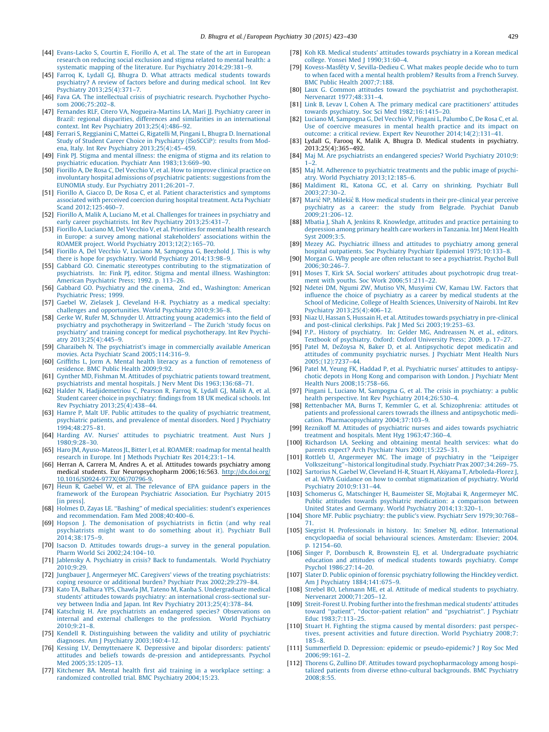- <span id="page-6-0"></span>[44] [Evans-Lacko](http://refhub.elsevier.com/S0924-9338(15)00060-7/sbref0845) S, Courtin E, Fiorillo A, et al. The state of the art in European research on reducing social [exclusion](http://refhub.elsevier.com/S0924-9338(15)00060-7/sbref0845) and stigma related to mental health: a systematic mapping of the literature. Eur Psychiatry [2014;29:381–9.](http://refhub.elsevier.com/S0924-9338(15)00060-7/sbref0845)
- [45] Farroq K, Lydall GJ, Bhugra D. What attracts medical [students](http://refhub.elsevier.com/S0924-9338(15)00060-7/sbref0850) towards [psychiatry?](http://refhub.elsevier.com/S0924-9338(15)00060-7/sbref0850) A review of factors before and during medical school. Int Rev Psychiatry [2013;25\(4\):371–7.](http://refhub.elsevier.com/S0924-9338(15)00060-7/sbref0850)
- [46] Fava GA. The [intellectual](http://refhub.elsevier.com/S0924-9338(15)00060-7/sbref0855) crisis of psychiatric research. Psychother Psychosom [2006;75:202–8.](http://refhub.elsevier.com/S0924-9338(15)00060-7/sbref0855)
- [47] Fernandes RLF, Citero VA, [Nogueira-Martins](http://refhub.elsevier.com/S0924-9338(15)00060-7/sbref0860) LA, Mari JJ. Psychiatry career in Brazil: regional disparities, differences and similarities in an [international](http://refhub.elsevier.com/S0924-9338(15)00060-7/sbref0860) context. Int Rev Psychiatry [2013;25\(4\):486–92](http://refhub.elsevier.com/S0924-9338(15)00060-7/sbref0860).
- [48] Ferrari S, Reggianini C, Mattei G, Rigatelli M, Pingani L, Bhugra D. [Inernational](http://refhub.elsevier.com/S0924-9338(15)00060-7/sbref0865) Study of Student Career Choice in Psychiatry [\(ISoSCCiP\):](http://refhub.elsevier.com/S0924-9338(15)00060-7/sbref0865) results from Modena, Italy. Int Rev Psychiatry [2013;25\(4\):45–459.](http://refhub.elsevier.com/S0924-9338(15)00060-7/sbref0865)
- [49] Fink PJ. Stigma and mental illness: the enigma of stigma and its [relation](http://refhub.elsevier.com/S0924-9338(15)00060-7/sbref0870) to psychiatric education. Psychiatr Ann [1983;13:669–90](http://refhub.elsevier.com/S0924-9338(15)00060-7/sbref0870).
- [50] Fiorillo A, De Rosa C, Del Vecchio V, et al. How to [improve](http://refhub.elsevier.com/S0924-9338(15)00060-7/sbref0875) clinical practice on involuntary hospital admissions of psychiatric patients: [suggestions](http://refhub.elsevier.com/S0924-9338(15)00060-7/sbref0875) from the EUNOMIA study. Eur Psychiatry [2011;26:201–7](http://refhub.elsevier.com/S0924-9338(15)00060-7/sbref0875).
- [51] Fiorillo A, Giacco D, De Rosa C, et al. Patient [characteristics](http://refhub.elsevier.com/S0924-9338(15)00060-7/sbref0880) and symptoms associated with perceived coercion during hospital [treatment.](http://refhub.elsevier.com/S0924-9338(15)00060-7/sbref0880) Acta Psychiatr Scand [2012;125:460–7.](http://refhub.elsevier.com/S0924-9338(15)00060-7/sbref0880)
- [52] Fiorillo A, Malik A, Luciano M, et al. [Challenges](http://refhub.elsevier.com/S0924-9338(15)00060-7/sbref0885) for trainees in psychiatry and early career psychiatrists. Int Rev Psychiatry [2013;25:431–7](http://refhub.elsevier.com/S0924-9338(15)00060-7/sbref0885).
- [53] Fiorillo A, Luciano M, Del Vecchio V, et al. [Priorities](http://refhub.elsevier.com/S0924-9338(15)00060-7/sbref0890) for mental health research in Europe: a survey among national [stakeholders'](http://refhub.elsevier.com/S0924-9338(15)00060-7/sbref0890) associations within the ROAMER project. World Psychiatry [2013;12\(2\):165–70.](http://refhub.elsevier.com/S0924-9338(15)00060-7/sbref0890)
- [54] Fiorillo A, Del Vecchio V, Luciano M, [Sampogna](http://refhub.elsevier.com/S0924-9338(15)00060-7/sbref0895) G, Beezhold J. This is why there is hope for psychiatry. World Psychiatry [2014;13:98–9.](http://refhub.elsevier.com/S0924-9338(15)00060-7/sbref0895)
- [55] Gabbard GO. Cinematic stereotypes contributing to the [stigmatization](http://refhub.elsevier.com/S0924-9338(15)00060-7/sbref0900) of [psychiatrists.](http://refhub.elsevier.com/S0924-9338(15)00060-7/sbref0900) In: Fink PJ, editor. Stigma and mental illness. Washington: American [Psychiatric](http://refhub.elsevier.com/S0924-9338(15)00060-7/sbref0900) Press; 1992. p. [113–26](http://refhub.elsevier.com/S0924-9338(15)00060-7/sbref0900).
- [56] Gabbard GO. Psychiatry and the cinema, 2nd ed., [Washington:](http://refhub.elsevier.com/S0924-9338(15)00060-7/sbref0905) American [Psychiatric](http://refhub.elsevier.com/S0924-9338(15)00060-7/sbref0905) Press; 1999.
- [57] Gaebel W, Zielasek J, Cleveland H-R. [Psychiatry](http://refhub.elsevier.com/S0924-9338(15)00060-7/sbref0910) as a medical specialty: challenges and [opportunities.](http://refhub.elsevier.com/S0924-9338(15)00060-7/sbref0910) World Psychiatry 2010;9:36–8.
- [58] Gerke W, Rufer M, Schnyder U. Attracting young [academics](http://refhub.elsevier.com/S0924-9338(15)00060-7/sbref0915) into the field of psychiatry and [psychotherapy](http://refhub.elsevier.com/S0924-9338(15)00060-7/sbref0915) in Switzerland – The Zurich 'study focus on psychiatry' and training concept for medical [psychotherapy.](http://refhub.elsevier.com/S0924-9338(15)00060-7/sbref0915) Int Rev Psychiatry [2013;25\(4\):445–9](http://refhub.elsevier.com/S0924-9338(15)00060-7/sbref0915).
- [59] Gharaibeh N. The psychiatrist's image in [commercially](http://refhub.elsevier.com/S0924-9338(15)00060-7/sbref0920) available American movies. Acta Psychiatr Scand [2005;114:316–9.](http://refhub.elsevier.com/S0924-9338(15)00060-7/sbref0920)
- [60] Griffiths L, Jorm A. Mental health literacy as a function of [remoteness](http://refhub.elsevier.com/S0924-9338(15)00060-7/sbref0925) of residence. BMC Public Health [2009;9:92](http://refhub.elsevier.com/S0924-9338(15)00060-7/sbref0925).
- [61] Gynther MD, Fishman M. Attitudes of [psychiatric](http://refhub.elsevier.com/S0924-9338(15)00060-7/sbref0930) patients toward treatment, psychiatrists and mental hospitals. J Nerv Ment Dis [1963;136:68–71.](http://refhub.elsevier.com/S0924-9338(15)00060-7/sbref0930)
- [62] Halder N, [Hadjidemetriou](http://refhub.elsevier.com/S0924-9338(15)00060-7/sbref0935) C, Pearson R, Farroq K, Lydall GJ, Malik A, et al. Student career choice in [psychiatry:](http://refhub.elsevier.com/S0924-9338(15)00060-7/sbref0935) findings from 18 UK medical schools. Int Rev Psychiatry [2013;25\(4\):438–44.](http://refhub.elsevier.com/S0924-9338(15)00060-7/sbref0935)
- [63] Hamre P, Malt UF. Public attitudes to the quality of [psychiatric](http://refhub.elsevier.com/S0924-9338(15)00060-7/sbref0940) treatment, [psychiatric](http://refhub.elsevier.com/S0924-9338(15)00060-7/sbref0940) patients, and prevalence of mental disorders. Nord J Psychiatry [1994;48:275–81.](http://refhub.elsevier.com/S0924-9338(15)00060-7/sbref0940)
- [64] Harding AV. Nurses' attitudes to [psychiatric](http://refhub.elsevier.com/S0924-9338(15)00060-7/sbref0945) treatment. Aust Nurs J [1980;9:28–30.](http://refhub.elsevier.com/S0924-9338(15)00060-7/sbref0945)
- [65] Haro JM, [Ayuso-Mateos](http://refhub.elsevier.com/S0924-9338(15)00060-7/sbref0950) JL, Bitter I, et al. ROAMER: roadmap for mental health research in Europe. Int J Methods Psychiatr Res [2014;23:1–14.](http://refhub.elsevier.com/S0924-9338(15)00060-7/sbref0950)
- [66] Herran A, Carrera M, Andres A, et al. Attitudes towards psychiatry among medical students. Eur Neuropsychopharm 2006;16:56[3.](http://dx.doi.org/10.1016/S0924-977X(06)70796-9) [http://dx.doi.org/](http://dx.doi.org/10.1016/S0924-977X(06)70796-9) [10.1016/S0924-977X\(06\)70796-9.](http://dx.doi.org/10.1016/S0924-977X(06)70796-9)
- [67] Heun R, Gaebel W, et al. The [relevance](http://refhub.elsevier.com/S0924-9338(15)00060-7/sbref0960) of EPA guidance papers in the framework of the European Psychiatric [Association.](http://refhub.elsevier.com/S0924-9338(15)00060-7/sbref0960) Eur Psychiatry 2015 [in [press\].](http://refhub.elsevier.com/S0924-9338(15)00060-7/sbref0960)
- [68] Holmes D, Zayas LE. ''Bashing'' of medical [specialities:](http://refhub.elsevier.com/S0924-9338(15)00060-7/sbref0965) student's experiences and [recommendation.](http://refhub.elsevier.com/S0924-9338(15)00060-7/sbref0965) Fam Med 2008;40:400–6.
- [69] Hopson J. The [demonisation](http://refhub.elsevier.com/S0924-9338(15)00060-7/sbref0970) of psychiatrists in fictin (and why real [psychiatrists](http://refhub.elsevier.com/S0924-9338(15)00060-7/sbref0970) might want to do something about it). Psychiatr Bull [2014;38:175–9.](http://refhub.elsevier.com/S0924-9338(15)00060-7/sbref0970)
- [70] Isacson D. Attitudes towards drugs–a survey in the general [population.](http://refhub.elsevier.com/S0924-9338(15)00060-7/sbref0975) Pharm World Sci [2002;24:104–10.](http://refhub.elsevier.com/S0924-9338(15)00060-7/sbref0975)
- [71] Jablensky A. Psychiatry in crisis? Back to [fundamentals.](http://refhub.elsevier.com/S0924-9338(15)00060-7/sbref0980) World Psychiatry [2010;9:29](http://refhub.elsevier.com/S0924-9338(15)00060-7/sbref0980).
- [72] Jungbauer J, Angermeyer MC. Caregivers' views of the treating [psychiatrists:](http://refhub.elsevier.com/S0924-9338(15)00060-7/sbref0985) coping resource or additional burden? Psychiatr Prax [2002;29:279–84](http://refhub.elsevier.com/S0924-9338(15)00060-7/sbref0985).
- [73] Kato TA, Balhara YPS, Chawla JM, Tateno M, Kanba S. [Undergraduate](http://refhub.elsevier.com/S0924-9338(15)00060-7/sbref0990) medical students' attitudes towards psychiatry: an international [cross-sectional](http://refhub.elsevier.com/S0924-9338(15)00060-7/sbref0990) survey between India and Japan. Int Rev Psychiatry [2013;25\(4\):378–84](http://refhub.elsevier.com/S0924-9338(15)00060-7/sbref0990).
- [74] Katschnig H. Are psychiatrists an endangered species? [Observations](http://refhub.elsevier.com/S0924-9338(15)00060-7/sbref0995) on internal and external challenges to the [profession.](http://refhub.elsevier.com/S0924-9338(15)00060-7/sbref0995) World Psychiatry [2010;9:21–8](http://refhub.elsevier.com/S0924-9338(15)00060-7/sbref0995).
- [75] Kendell R. [Distinguishing](http://refhub.elsevier.com/S0924-9338(15)00060-7/sbref1000) between the validity and utility of psychiatric diagnoses. Am J Psychiatry [2003;160:4–12.](http://refhub.elsevier.com/S0924-9338(15)00060-7/sbref1000)
- [76] Kessing LV, [Demyttenaere](http://refhub.elsevier.com/S0924-9338(15)00060-7/sbref1005) K. Depressive and bipolar disorders: patients' attitudes and beliefs towards de-pression and [antidepressants.](http://refhub.elsevier.com/S0924-9338(15)00060-7/sbref1005) Psychol Med [2005;35:1205–13](http://refhub.elsevier.com/S0924-9338(15)00060-7/sbref1005).
- [77] Kitchener BA. Mental health first aid training in a [workplace](http://refhub.elsevier.com/S0924-9338(15)00060-7/sbref1010) setting: a [randomized](http://refhub.elsevier.com/S0924-9338(15)00060-7/sbref1010) controlled trial. BMC Psychiatry 2004;15:23.
- [78] Koh KB. Medical students' attitudes towards [psychiatry](http://refhub.elsevier.com/S0924-9338(15)00060-7/sbref1015) in a Korean medical college. Yonsei Med J [1990;31:60–4.](http://refhub.elsevier.com/S0924-9338(15)00060-7/sbref1015)
- [79] Kovess-Masféty V, Sevilla-Dedieu C. What makes people decide who to turn to when faced with a mental health [problem?](http://refhub.elsevier.com/S0924-9338(15)00060-7/sbref1020) Results from a French Survey. BMC Public Health [2007;7:188](http://refhub.elsevier.com/S0924-9338(15)00060-7/sbref1020).
- [80] Laux G. Common attitudes toward the psychiatrist and [psychotherapist.](http://refhub.elsevier.com/S0924-9338(15)00060-7/sbref1025) Nervenarzt [1977;48:331–4](http://refhub.elsevier.com/S0924-9338(15)00060-7/sbref1025).
- [81] Link B, Levav I, Cohen A. The primary medical care [practitioners'](http://refhub.elsevier.com/S0924-9338(15)00060-7/sbref1030) attitudes towards psychiatry. Soc Sci Med [1982;16:1415–20.](http://refhub.elsevier.com/S0924-9338(15)00060-7/sbref1030)
- [82] Luciano M, [Sampogna](http://refhub.elsevier.com/S0924-9338(15)00060-7/sbref1035) G, Del Vecchio V, Pingani L, Palumbo C, De Rosa C, et al. Use of coercive [measures](http://refhub.elsevier.com/S0924-9338(15)00060-7/sbref1035) in mental health practice and its impact on outcome: a critical review. Expert Rev Neurother [2014;14\(2\):131–41](http://refhub.elsevier.com/S0924-9338(15)00060-7/sbref1035).
- [83] Lydall G, Farooq K, Malik A, Bhugra D. Medical students in psychiatry. 2013;25(4):365–492.
- [84] Maj M. Are [psychiatrists](http://refhub.elsevier.com/S0924-9338(15)00060-7/sbref1045) an endangered species? World Psychiatry 2010;9:  $1 - 2$
- [85] Maj M. Adherence to psychiatric [treatments](http://refhub.elsevier.com/S0924-9338(15)00060-7/sbref1050) and the public image of psychiatry. World Psychiatry [2013;12:185–6](http://refhub.elsevier.com/S0924-9338(15)00060-7/sbref1050).
- [86] [Maldiment](http://refhub.elsevier.com/S0924-9338(15)00060-7/sbref1055) RL, Katona GC, et al. Carry on shrinking. Psychiatr Bull [2003;27:30–2.](http://refhub.elsevier.com/S0924-9338(15)00060-7/sbref1055)
- [87] Marić NP, Milekić B. How medical students in their [pre-clinical](http://refhub.elsevier.com/S0924-9338(15)00060-7/sbref1060) year perceive [psychiatry](http://refhub.elsevier.com/S0924-9338(15)00060-7/sbref1060) as a career: the study from Belgrade. Psychiat Danub [2009;21:206–12.](http://refhub.elsevier.com/S0924-9338(15)00060-7/sbref1060)
- [88] Mbatia J, Shah A, Jenkins R. [Knowledge,](http://refhub.elsevier.com/S0924-9338(15)00060-7/sbref1065) attitudes and practice pertaining to [depression](http://refhub.elsevier.com/S0924-9338(15)00060-7/sbref1065) among primary health care workers in Tanzania. Int J Ment Health Syst [2009;3:5](http://refhub.elsevier.com/S0924-9338(15)00060-7/sbref1065).
- [89] Mezey AG. [Psychiatric](http://refhub.elsevier.com/S0924-9338(15)00060-7/sbref1070) illness and attitudes to psychiatry among general hospital outpatients. Soc Psychiatry Psychiatr Epidemiol [1975;10:133–8.](http://refhub.elsevier.com/S0924-9338(15)00060-7/sbref1070)
- [90] Morgan G. Why people are often reluctant to see a [psychiatrist.](http://refhub.elsevier.com/S0924-9338(15)00060-7/sbref1075) Psychol Bull [2006;30:246–7.](http://refhub.elsevier.com/S0924-9338(15)00060-7/sbref1075)
- [91] Moses T, Kirk SA. Social workers' attitudes about [psychotropic](http://refhub.elsevier.com/S0924-9338(15)00060-7/sbref1080) drug treatment with youths. Soc Work [2006;51:211–22.](http://refhub.elsevier.com/S0924-9338(15)00060-7/sbref1080)
- [92] Ndetei DM, Ngumi ZW, Mutiso VN, [Musyimi](http://refhub.elsevier.com/S0924-9338(15)00060-7/sbref1085) CW, Kamau LW. Factors that influence the choice of [psychiatry](http://refhub.elsevier.com/S0924-9338(15)00060-7/sbref1085) as a career by medical students at the School of Medicine, College of Health Sciences, [University](http://refhub.elsevier.com/S0924-9338(15)00060-7/sbref1085) of Nairobi. Int Rev Psychiatry [2013;25\(4\):406–12](http://refhub.elsevier.com/S0924-9338(15)00060-7/sbref1085).
- [93] Niaz U, Hassan S, Hussain H, et al. Attitudes towards psychiatry in [pre-clinical](http://refhub.elsevier.com/S0924-9338(15)00060-7/sbref1090) and post-clinical clerkships. Pak J Med Sci [2003;19:253–63.](http://refhub.elsevier.com/S0924-9338(15)00060-7/sbref1090)
- [94] P.P.. History of psychiatry. In: Gelder MG, [Andreassen](http://refhub.elsevier.com/S0924-9338(15)00060-7/sbref1095) N, et al., editors. Textbook of [psychiatry.](http://refhub.elsevier.com/S0924-9338(15)00060-7/sbref1095) Oxford: Oxford University Press; 2009. p. [17–27](http://refhub.elsevier.com/S0924-9338(15)00060-7/sbref1095).
- [95] Patel M, DeZoysa N, Baker D, et al. [Antipsychotic](http://refhub.elsevier.com/S0924-9338(15)00060-7/sbref1100) depot medicatin and attitudes of [community](http://refhub.elsevier.com/S0924-9338(15)00060-7/sbref1100) psychiatric nurses. J Psychiatr Ment Health Nurs [2005;\(12\):7237–44](http://refhub.elsevier.com/S0924-9338(15)00060-7/sbref1100).
- [96] Patel M, Yeung FK, Haddad P, et al. [Psychiatric](http://refhub.elsevier.com/S0924-9338(15)00060-7/sbref1105) nurses' attitudes to antipsychotic depots in Hong Kong and [comparison](http://refhub.elsevier.com/S0924-9338(15)00060-7/sbref1105) with London. J Psychiatr Ment Health Nurs [2008;15:758–66.](http://refhub.elsevier.com/S0924-9338(15)00060-7/sbref1105)
- [97] Pingani L, Luciano M, Sampogna G, et al. The crisis in [psychiatry:](http://refhub.elsevier.com/S0924-9338(15)00060-7/sbref1110) a public health perspective. Int Rev Psychiatry [2014;26:530–4](http://refhub.elsevier.com/S0924-9338(15)00060-7/sbref1110).
- [98] Rettenbacher MA, Burns T, Kemmler G, et al. [Schizophrenia:](http://refhub.elsevier.com/S0924-9338(15)00060-7/sbref1115) attitudes ot patients and professional carers towrads the illness and [antipsychotic](http://refhub.elsevier.com/S0924-9338(15)00060-7/sbref1115) medication. [Pharmacopsychiatry](http://refhub.elsevier.com/S0924-9338(15)00060-7/sbref1115) 2004;37:103–9.
- [99] Reznikoff M. Attitudes of [psychiatric](http://refhub.elsevier.com/S0924-9338(15)00060-7/sbref1120) nurses and aides towards psychiatric treatment and hospitals. Ment Hyg [1963;47:360–4](http://refhub.elsevier.com/S0924-9338(15)00060-7/sbref1120).
- [100] [Richardson](http://refhub.elsevier.com/S0924-9338(15)00060-7/sbref1125) LA. Seeking and obtaining mental health services: what do parents expect? Arch Psychiatr Nurs [2001;15:225–31.](http://refhub.elsevier.com/S0924-9338(15)00060-7/sbref1125)
- [101] Rottleb U, [Angermeyer](http://refhub.elsevier.com/S0924-9338(15)00060-7/sbref1130) MC. The image of psychiatry in the ''Leipziger [Volkszeitung''–historical](http://refhub.elsevier.com/S0924-9338(15)00060-7/sbref1130) longitudinal study. Psychiatr Prax 2007;34:269–75.
- [102] Sartorius N, Gaebel W, Cleveland H-R, Stuart H, Akiyama T, [Arboleda-Florez](http://refhub.elsevier.com/S0924-9338(15)00060-7/sbref1135) J, et al. WPA Guidance on how to combat [stigmatization](http://refhub.elsevier.com/S0924-9338(15)00060-7/sbref1135) of psychiatry. World Psychiatry [2010;9:131–44](http://refhub.elsevier.com/S0924-9338(15)00060-7/sbref1135).
- [103] Schomerus G, [Matschinger](http://refhub.elsevier.com/S0924-9338(15)00060-7/sbref1140) H, Baumeister SE, Mojtabai R, Angermeyer MC. Public attitudes towards psychiatric [medication:](http://refhub.elsevier.com/S0924-9338(15)00060-7/sbref1140) a comparison between United States and Germany. World Psychiatry [2014;13:320–1.](http://refhub.elsevier.com/S0924-9338(15)00060-7/sbref1140)
- [104] Shore MF. Public psychiatry: the public's view. Psychiatr Serv [1979;30:768–](http://refhub.elsevier.com/S0924-9338(15)00060-7/sbref1145) [71.](http://refhub.elsevier.com/S0924-9338(15)00060-7/sbref1145)
- [105] Siegrist H. [Professionals](http://refhub.elsevier.com/S0924-9338(15)00060-7/sbref1150) in history. In: Smelser NJ, editor. International [encyclopaedia](http://refhub.elsevier.com/S0924-9338(15)00060-7/sbref1150) of social behavioural sciences. Amsterdam: Elsevier; 2004[.](http://refhub.elsevier.com/S0924-9338(15)00060-7/sbref1150) p. [12154–60.](http://refhub.elsevier.com/S0924-9338(15)00060-7/sbref1150)
- [106] Singer P, Dornbusch R, Brownstein EJ, et al. [Undergraduate](http://refhub.elsevier.com/S0924-9338(15)00060-7/sbref1155) psychiatric education and attitudes of medical students towards [psychiatry.](http://refhub.elsevier.com/S0924-9338(15)00060-7/sbref1155) Compr Psychol [1986;27:14–20.](http://refhub.elsevier.com/S0924-9338(15)00060-7/sbref1155)
- [107] Slater D. Public opinion of forensic [psychiatry](http://refhub.elsevier.com/S0924-9338(15)00060-7/sbref1160) following the Hinckley verdict. Am J Psychiatry [1884;141:675–9](http://refhub.elsevier.com/S0924-9338(15)00060-7/sbref1160).
- [108] Strebel BO, Lehmann ME, et al. Attitude of medical students to [psychiatry.](http://refhub.elsevier.com/S0924-9338(15)00060-7/sbref1165) Nervenarzt [2000;71:205–12](http://refhub.elsevier.com/S0924-9338(15)00060-7/sbref1165).
- [109] [Streit-Forest](http://refhub.elsevier.com/S0924-9338(15)00060-7/sbref1170) U. Probing further into the freshman medical students' attitudes toward ''patient'', [''doctor-patient](http://refhub.elsevier.com/S0924-9338(15)00060-7/sbref1170) relation'' and ''psychiatrist''. J Psychiatr Educ [1983;7:113–25](http://refhub.elsevier.com/S0924-9338(15)00060-7/sbref1170).
- [110] Stuart H. Fighting the stigma caused by mental [disorders:](http://refhub.elsevier.com/S0924-9338(15)00060-7/sbref1175) past perspectives, present activities and future direction. World [Psychiatry](http://refhub.elsevier.com/S0924-9338(15)00060-7/sbref1175) 2008;7: [185–8](http://refhub.elsevier.com/S0924-9338(15)00060-7/sbref1175).
- [111] Summerfield D. Depression: epidemic or [pseudo-epidemic?](http://refhub.elsevier.com/S0924-9338(15)00060-7/sbref1180) J Roy Soc Med [2006;99:161–2](http://refhub.elsevier.com/S0924-9338(15)00060-7/sbref1180).
- [112] Thorens G, Zullino DF. Attitudes toward [psychopharmacology](http://refhub.elsevier.com/S0924-9338(15)00060-7/sbref1185) among hospitalized patients from diverse [ethno-cultural](http://refhub.elsevier.com/S0924-9338(15)00060-7/sbref1185) backgrounds. BMC Psychiatry [2008;8:55.](http://refhub.elsevier.com/S0924-9338(15)00060-7/sbref1185)